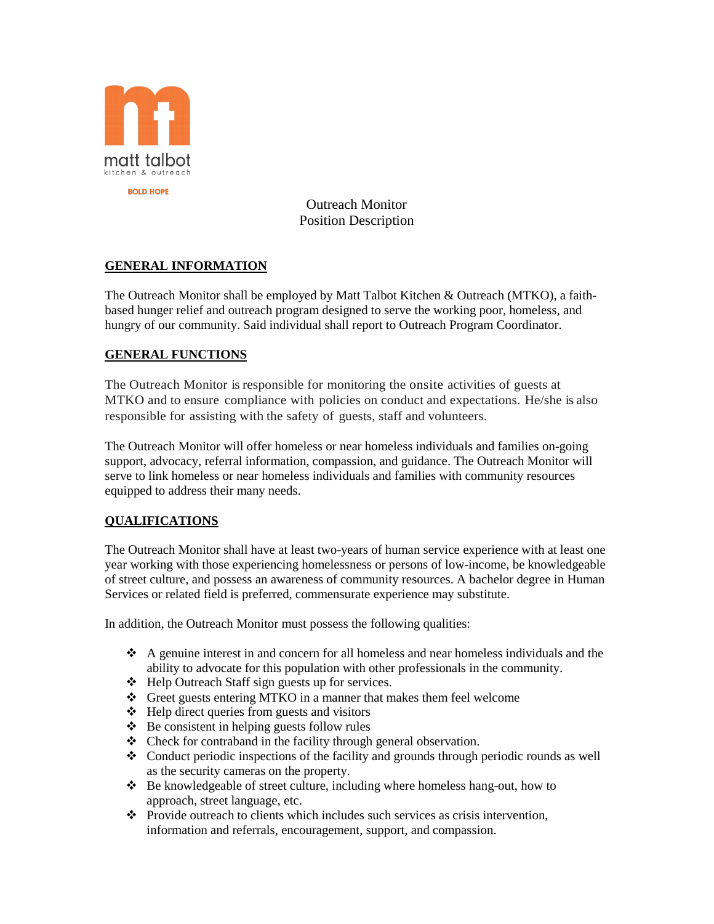

Outreach Monitor Position Description

# **GENERAL INFORMATION**

The Outreach Monitor shall be employed by Matt Talbot Kitchen & Outreach (MTKO), a faithbased hunger relief and outreach program designed to serve the working poor, homeless, and hungry of our community. Said individual shall report to Outreach Program Coordinator.

## **GENERAL FUNCTIONS**

The Outreach Monitor is responsible for monitoring the onsite activities of guests at MTKO and to ensure compliance with policies on conduct and expectations. He/she is also responsible for assisting with the safety of guests, staff and volunteers.

The Outreach Monitor will offer homeless or near homeless individuals and families on-going support, advocacy, referral information, compassion, and guidance. The Outreach Monitor will serve to link homeless or near homeless individuals and families with community resources equipped to address their many needs.

#### **QUALIFICATIONS**

The Outreach Monitor shall have at least two-years of human service experience with at least one year working with those experiencing homelessness or persons of low-income, be knowledgeable of street culture, and possess an awareness of community resources. A bachelor degree in Human Services or related field is preferred, commensurate experience may substitute.

In addition, the Outreach Monitor must possess the following qualities:

- $\triangle$  A genuine interest in and concern for all homeless and near homeless individuals and the ability to advocate for this population with other professionals in the community.
- Help Outreach Staff sign guests up for services.
- Greet guests entering MTKO in a manner that makes them feel welcome
- $\triangleleft$  Help direct queries from guests and visitors
- $\triangle$  Be consistent in helping guests follow rules
- Check for contraband in the facility through general observation.
- $\triangleleft$  Conduct periodic inspections of the facility and grounds through periodic rounds as well as the security cameras on the property.
- Be knowledgeable of street culture, including where homeless hang-out, how to approach, street language, etc.
- Provide outreach to clients which includes such services as crisis intervention, information and referrals, encouragement, support, and compassion.